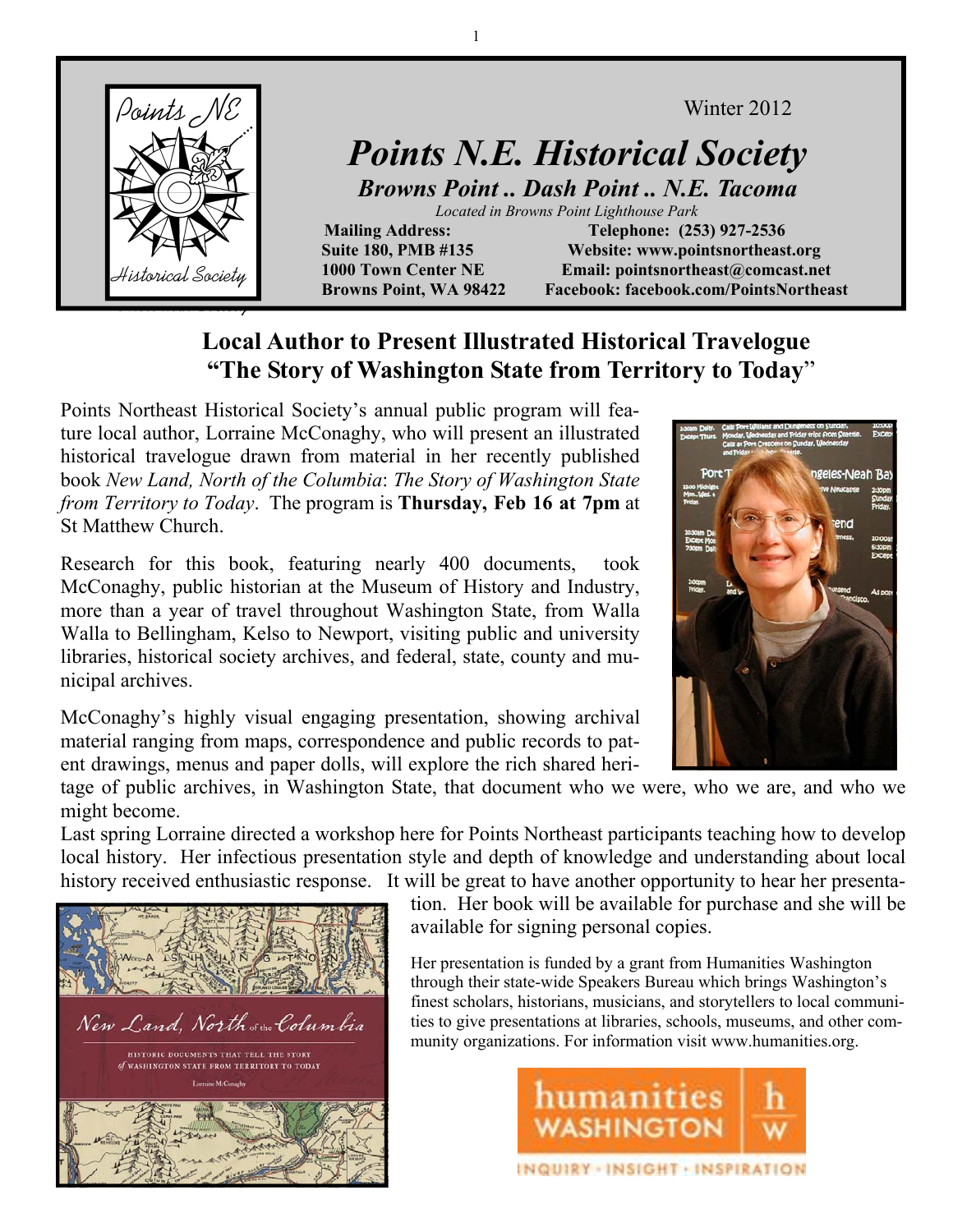

### Winter 2012

# *Points N.E. Historical Society*

*Browns Point .. Dash Point .. N.E. Tacoma Located in Browns Point Lighthouse Park* 

**Mailing Address:** Telephone: (253) 927-2536  **Suite 180, PMB #135 Website: www.pointsnortheast.org 1000 Town Center NE Email: pointsnortheast@comcast.net Browns Point, WA 98422 Facebook: facebook.com/PointsNortheast** 

### **Local Author to Present Illustrated Historical Travelogue "The Story of Washington State from Territory to Today**"

Points Northeast Historical Society's annual public program will feature local author, Lorraine McConaghy, who will present an illustrated historical travelogue drawn from material in her recently published book *New Land, North of the Columbia*: *The Story of Washington State from Territory to Today*. The program is **Thursday, Feb 16 at 7pm** at St Matthew Church.

Research for this book, featuring nearly 400 documents, took McConaghy, public historian at the Museum of History and Industry, more than a year of travel throughout Washington State, from Walla Walla to Bellingham, Kelso to Newport, visiting public and university libraries, historical society archives, and federal, state, county and municipal archives.

McConaghy's highly visual engaging presentation, showing archival material ranging from maps, correspondence and public records to patent drawings, menus and paper dolls, will explore the rich shared heri-



Last spring Lorraine directed a workshop here for Points Northeast participants teaching how to develop local history. Her infectious presentation style and depth of knowledge and understanding about local history received enthusiastic response. It will be great to have another opportunity to hear her presenta-



tion. Her book will be available for purchase and she will be available for signing personal copies.

Her presentation is funded by a grant from Humanities Washington through their state-wide Speakers Bureau which brings Washington's finest scholars, historians, musicians, and storytellers to local communities to give presentations at libraries, schools, museums, and other community organizations. For information visit www.humanities.org.





1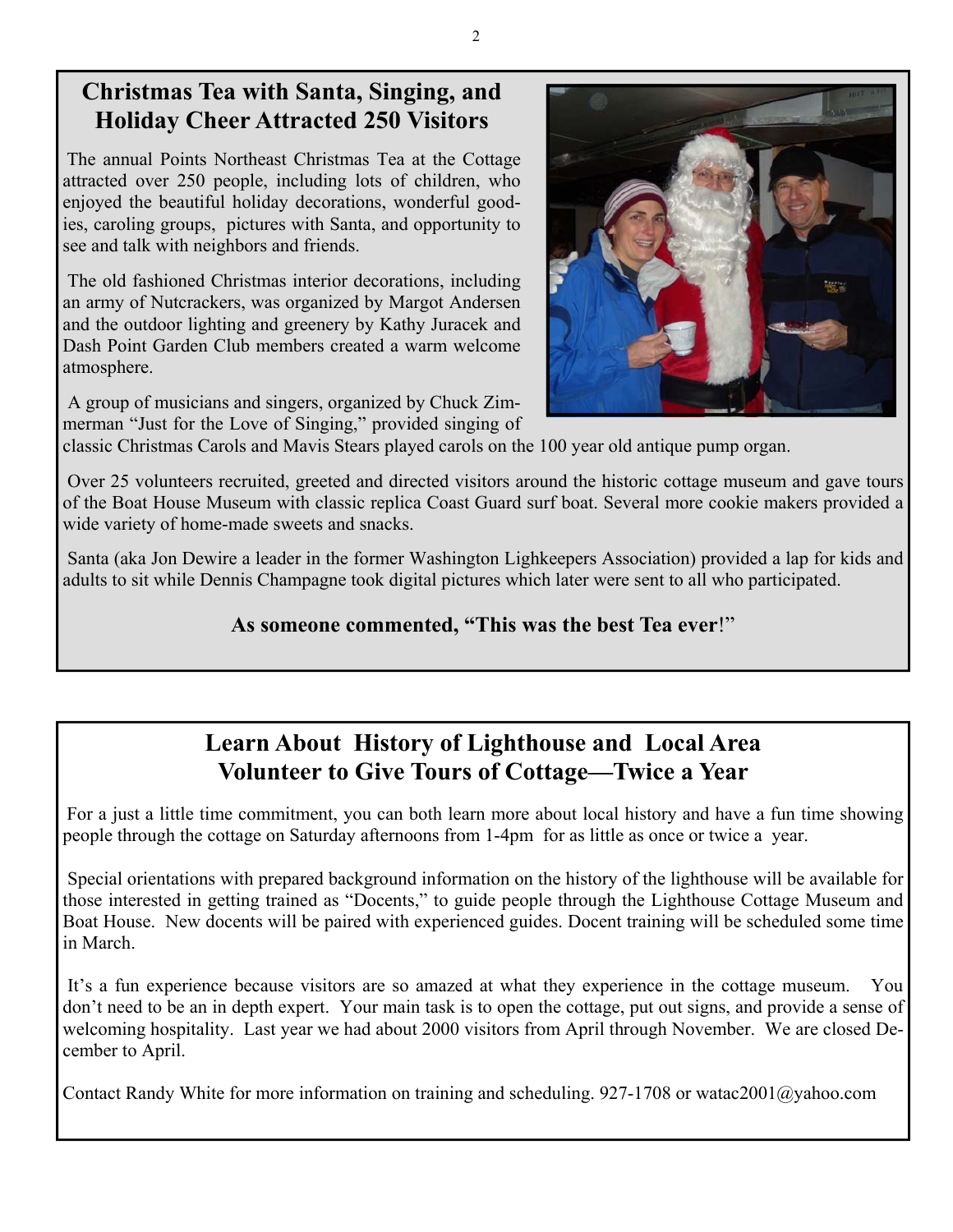### **Christmas Tea with Santa, Singing, and Holiday Cheer Attracted 250 Visitors**

The annual Points Northeast Christmas Tea at the Cottage attracted over 250 people, including lots of children, who enjoyed the beautiful holiday decorations, wonderful goodies, caroling groups, pictures with Santa, and opportunity to see and talk with neighbors and friends.

 The old fashioned Christmas interior decorations, including an army of Nutcrackers, was organized by Margot Andersen and the outdoor lighting and greenery by Kathy Juracek and Dash Point Garden Club members created a warm welcome atmosphere.

 A group of musicians and singers, organized by Chuck Zimmerman "Just for the Love of Singing," provided singing of

classic Christmas Carols and Mavis Stears played carols on the 100 year old antique pump organ.

 Over 25 volunteers recruited, greeted and directed visitors around the historic cottage museum and gave tours of the Boat House Museum with classic replica Coast Guard surf boat. Several more cookie makers provided a wide variety of home-made sweets and snacks.

 Santa (aka Jon Dewire a leader in the former Washington Lighkeepers Association) provided a lap for kids and adults to sit while Dennis Champagne took digital pictures which later were sent to all who participated.

#### **As someone commented, "This was the best Tea ever**!"

### **Learn About History of Lighthouse and Local Area Volunteer to Give Tours of Cottage—Twice a Year**

For a just a little time commitment, you can both learn more about local history and have a fun time showing people through the cottage on Saturday afternoons from 1-4pm for as little as once or twice a year.

 Special orientations with prepared background information on the history of the lighthouse will be available for those interested in getting trained as "Docents," to guide people through the Lighthouse Cottage Museum and Boat House. New docents will be paired with experienced guides. Docent training will be scheduled some time in March.

 It's a fun experience because visitors are so amazed at what they experience in the cottage museum. You don't need to be an in depth expert. Your main task is to open the cottage, put out signs, and provide a sense of welcoming hospitality. Last year we had about 2000 visitors from April through November. We are closed December to April.

Contact Randy White for more information on training and scheduling. 927-1708 or watac2001@yahoo.com

2

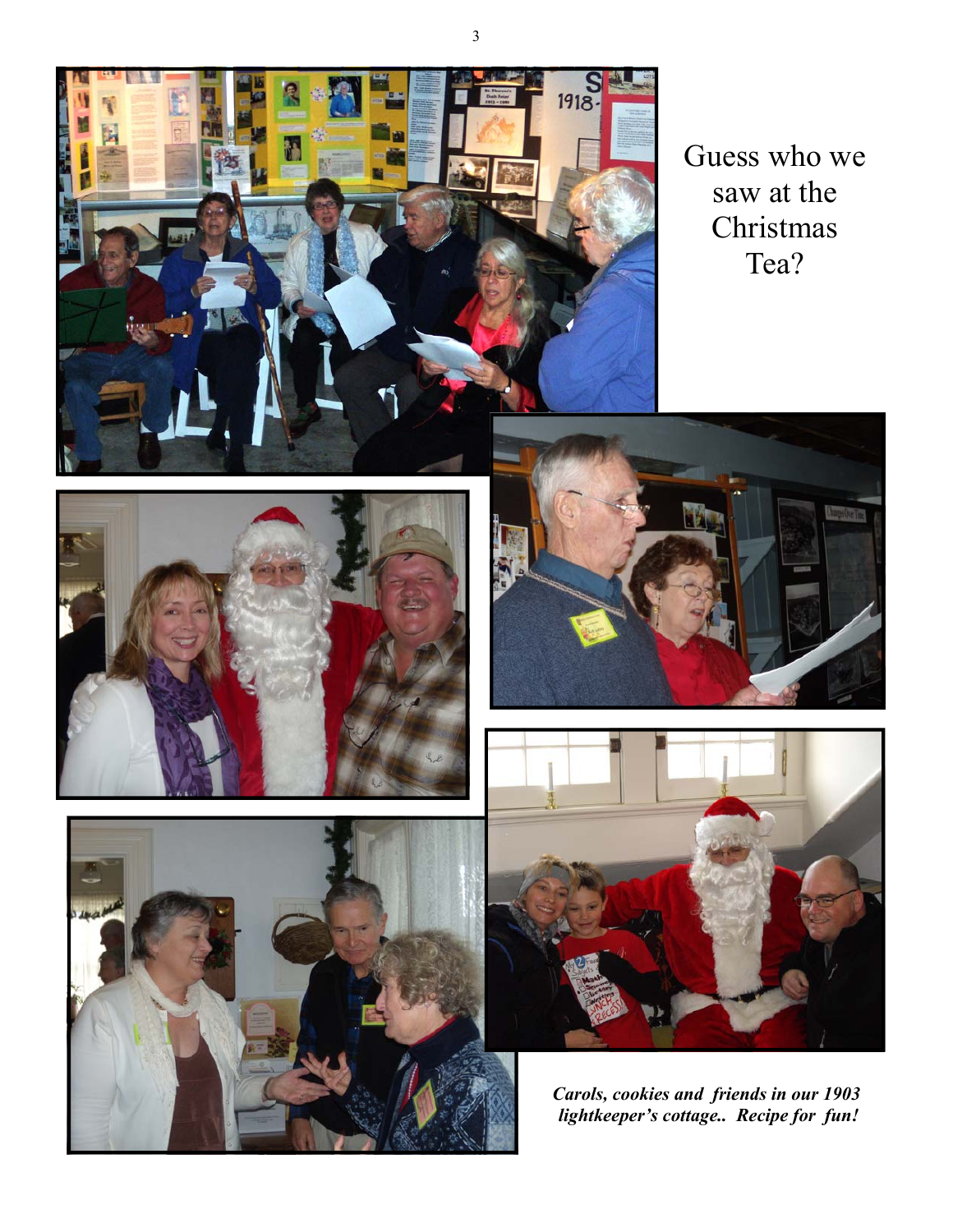

Guess who we saw at the Christmas Tea?









*Carols, cookies and friends in our 1903 lightkeeper's cottage.. Recipe for fun!*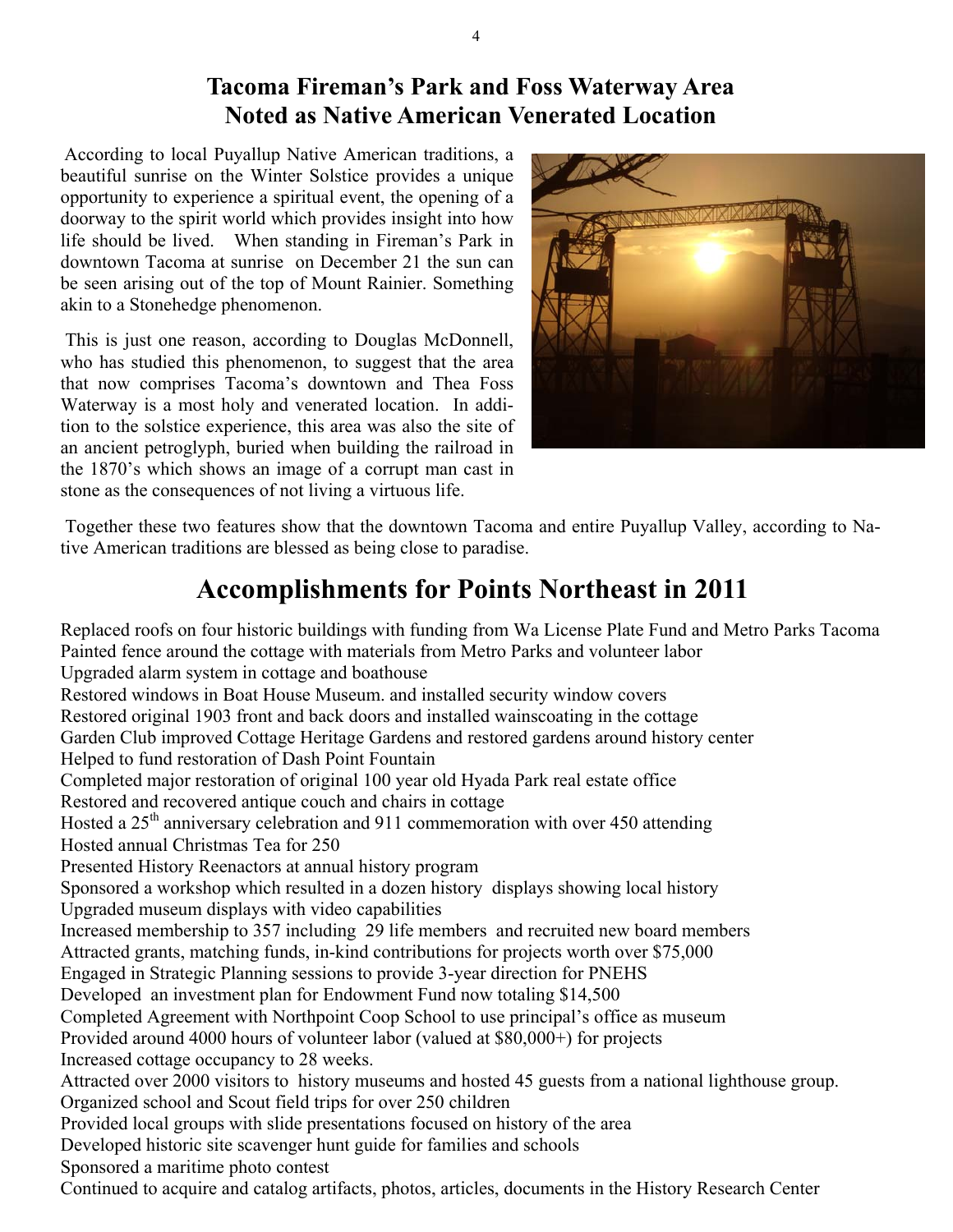### **Tacoma Fireman's Park and Foss Waterway Area Noted as Native American Venerated Location**

According to local Puyallup Native American traditions, a beautiful sunrise on the Winter Solstice provides a unique opportunity to experience a spiritual event, the opening of a doorway to the spirit world which provides insight into how life should be lived. When standing in Fireman's Park in downtown Tacoma at sunrise on December 21 the sun can be seen arising out of the top of Mount Rainier. Something akin to a Stonehedge phenomenon.

 This is just one reason, according to Douglas McDonnell, who has studied this phenomenon, to suggest that the area that now comprises Tacoma's downtown and Thea Foss Waterway is a most holy and venerated location. In addition to the solstice experience, this area was also the site of an ancient petroglyph, buried when building the railroad in the 1870's which shows an image of a corrupt man cast in stone as the consequences of not living a virtuous life.



 Together these two features show that the downtown Tacoma and entire Puyallup Valley, according to Native American traditions are blessed as being close to paradise.

## **Accomplishments for Points Northeast in 2011**

Replaced roofs on four historic buildings with funding from Wa License Plate Fund and Metro Parks Tacoma Painted fence around the cottage with materials from Metro Parks and volunteer labor Upgraded alarm system in cottage and boathouse Restored windows in Boat House Museum. and installed security window covers Restored original 1903 front and back doors and installed wainscoating in the cottage Garden Club improved Cottage Heritage Gardens and restored gardens around history center Helped to fund restoration of Dash Point Fountain Completed major restoration of original 100 year old Hyada Park real estate office Restored and recovered antique couch and chairs in cottage Hosted a  $25<sup>th</sup>$  anniversary celebration and 911 commemoration with over 450 attending Hosted annual Christmas Tea for 250 Presented History Reenactors at annual history program Sponsored a workshop which resulted in a dozen history displays showing local history Upgraded museum displays with video capabilities Increased membership to 357 including 29 life members and recruited new board members Attracted grants, matching funds, in-kind contributions for projects worth over \$75,000 Engaged in Strategic Planning sessions to provide 3-year direction for PNEHS Developed an investment plan for Endowment Fund now totaling \$14,500 Completed Agreement with Northpoint Coop School to use principal's office as museum Provided around 4000 hours of volunteer labor (valued at \$80,000+) for projects Increased cottage occupancy to 28 weeks. Attracted over 2000 visitors to history museums and hosted 45 guests from a national lighthouse group. Organized school and Scout field trips for over 250 children Provided local groups with slide presentations focused on history of the area Developed historic site scavenger hunt guide for families and schools Sponsored a maritime photo contest Continued to acquire and catalog artifacts, photos, articles, documents in the History Research Center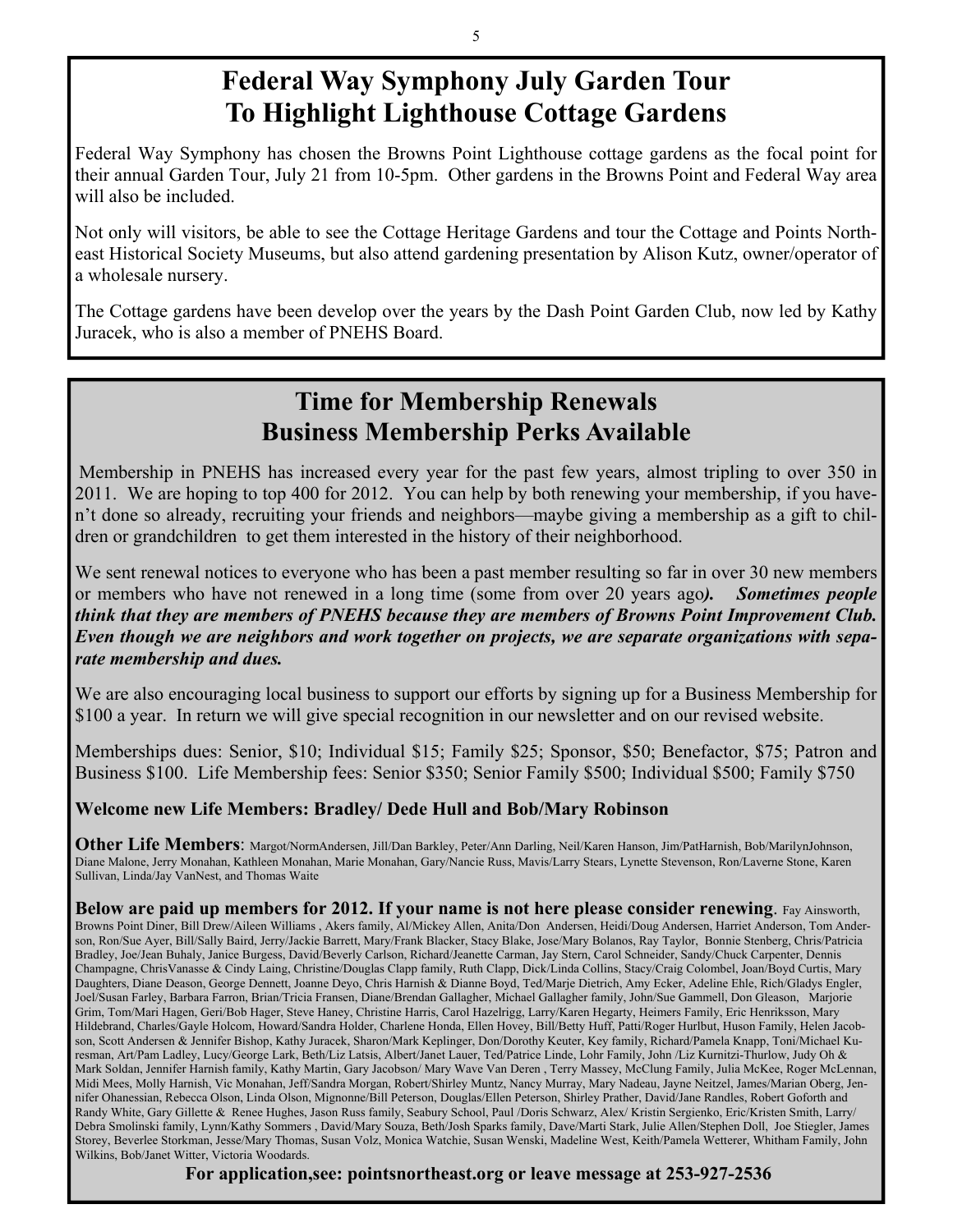## **Federal Way Symphony July Garden Tour To Highlight Lighthouse Cottage Gardens**

Federal Way Symphony has chosen the Browns Point Lighthouse cottage gardens as the focal point for their annual Garden Tour, July 21 from 10-5pm. Other gardens in the Browns Point and Federal Way area will also be included.

Not only will visitors, be able to see the Cottage Heritage Gardens and tour the Cottage and Points Northeast Historical Society Museums, but also attend gardening presentation by Alison Kutz, owner/operator of a wholesale nursery.

The Cottage gardens have been develop over the years by the Dash Point Garden Club, now led by Kathy Juracek, who is also a member of PNEHS Board.

## **Time for Membership Renewals Business Membership Perks Available**

Membership in PNEHS has increased every year for the past few years, almost tripling to over 350 in 2011. We are hoping to top 400 for 2012. You can help by both renewing your membership, if you haven't done so already, recruiting your friends and neighbors—maybe giving a membership as a gift to children or grandchildren to get them interested in the history of their neighborhood.

We sent renewal notices to everyone who has been a past member resulting so far in over 30 new members or members who have not renewed in a long time (some from over 20 years ago*). Sometimes people think that they are members of PNEHS because they are members of Browns Point Improvement Club. Even though we are neighbors and work together on projects, we are separate organizations with separate membership and dues.* 

We are also encouraging local business to support our efforts by signing up for a Business Membership for \$100 a year. In return we will give special recognition in our newsletter and on our revised website.

Memberships dues: Senior, \$10; Individual \$15; Family \$25; Sponsor, \$50; Benefactor, \$75; Patron and Business \$100. Life Membership fees: Senior \$350; Senior Family \$500; Individual \$500; Family \$750

#### **Welcome new Life Members: Bradley/ Dede Hull and Bob/Mary Robinson**

**Other Life Members**: Margot/NormAndersen, Jill/Dan Barkley, Peter/Ann Darling, Neil/Karen Hanson, Jim/PatHarnish, Bob/MarilynJohnson, Diane Malone, Jerry Monahan, Kathleen Monahan, Marie Monahan, Gary/Nancie Russ, Mavis/Larry Stears, Lynette Stevenson, Ron/Laverne Stone, Karen Sullivan, Linda/Jay VanNest, and Thomas Waite

**Below are paid up members for 2012. If your name is not here please consider renewing**. Fay Ainsworth, Browns Point Diner, Bill Drew/Aileen Williams , Akers family, Al/Mickey Allen, Anita/Don Andersen, Heidi/Doug Andersen, Harriet Anderson, Tom Anderson, Ron/Sue Ayer, Bill/Sally Baird, Jerry/Jackie Barrett, Mary/Frank Blacker, Stacy Blake, Jose/Mary Bolanos, Ray Taylor, Bonnie Stenberg, Chris/Patricia Bradley, Joe/Jean Buhaly, Janice Burgess, David/Beverly Carlson, Richard/Jeanette Carman, Jay Stern, Carol Schneider, Sandy/Chuck Carpenter, Dennis Champagne, ChrisVanasse & Cindy Laing, Christine/Douglas Clapp family, Ruth Clapp, Dick/Linda Collins, Stacy/Craig Colombel, Joan/Boyd Curtis, Mary Daughters, Diane Deason, George Dennett, Joanne Deyo, Chris Harnish & Dianne Boyd, Ted/Marje Dietrich, Amy Ecker, Adeline Ehle, Rich/Gladys Engler, Joel/Susan Farley, Barbara Farron, Brian/Tricia Fransen, Diane/Brendan Gallagher, Michael Gallagher family, John/Sue Gammell, Don Gleason, Marjorie Grim, Tom/Mari Hagen, Geri/Bob Hager, Steve Haney, Christine Harris, Carol Hazelrigg, Larry/Karen Hegarty, Heimers Family, Eric Henriksson, Mary Hildebrand, Charles/Gayle Holcom, Howard/Sandra Holder, Charlene Honda, Ellen Hovey, Bill/Betty Huff, Patti/Roger Hurlbut, Huson Family, Helen Jacobson, Scott Andersen & Jennifer Bishop, Kathy Juracek, Sharon/Mark Keplinger, Don/Dorothy Keuter, Key family, Richard/Pamela Knapp, Toni/Michael Kuresman, Art/Pam Ladley, Lucy/George Lark, Beth/Liz Latsis, Albert/Janet Lauer, Ted/Patrice Linde, Lohr Family, John /Liz Kurnitzi-Thurlow, Judy Oh & Mark Soldan, Jennifer Harnish family, Kathy Martin, Gary Jacobson/ Mary Wave Van Deren , Terry Massey, McClung Family, Julia McKee, Roger McLennan, Midi Mees, Molly Harnish, Vic Monahan, Jeff/Sandra Morgan, Robert/Shirley Muntz, Nancy Murray, Mary Nadeau, Jayne Neitzel, James/Marian Oberg, Jennifer Ohanessian, Rebecca Olson, Linda Olson, Mignonne/Bill Peterson, Douglas/Ellen Peterson, Shirley Prather, David/Jane Randles, Robert Goforth and Randy White, Gary Gillette & Renee Hughes, Jason Russ family, Seabury School, Paul /Doris Schwarz, Alex/ Kristin Sergienko, Eric/Kristen Smith, Larry/ Debra Smolinski family, Lynn/Kathy Sommers , David/Mary Souza, Beth/Josh Sparks family, Dave/Marti Stark, Julie Allen/Stephen Doll, Joe Stiegler, James Storey, Beverlee Storkman, Jesse/Mary Thomas, Susan Volz, Monica Watchie, Susan Wenski, Madeline West, Keith/Pamela Wetterer, Whitham Family, John Wilkins, Bob/Janet Witter, Victoria Woodards.

**For application,see: pointsnortheast.org or leave message at 253-927-2536**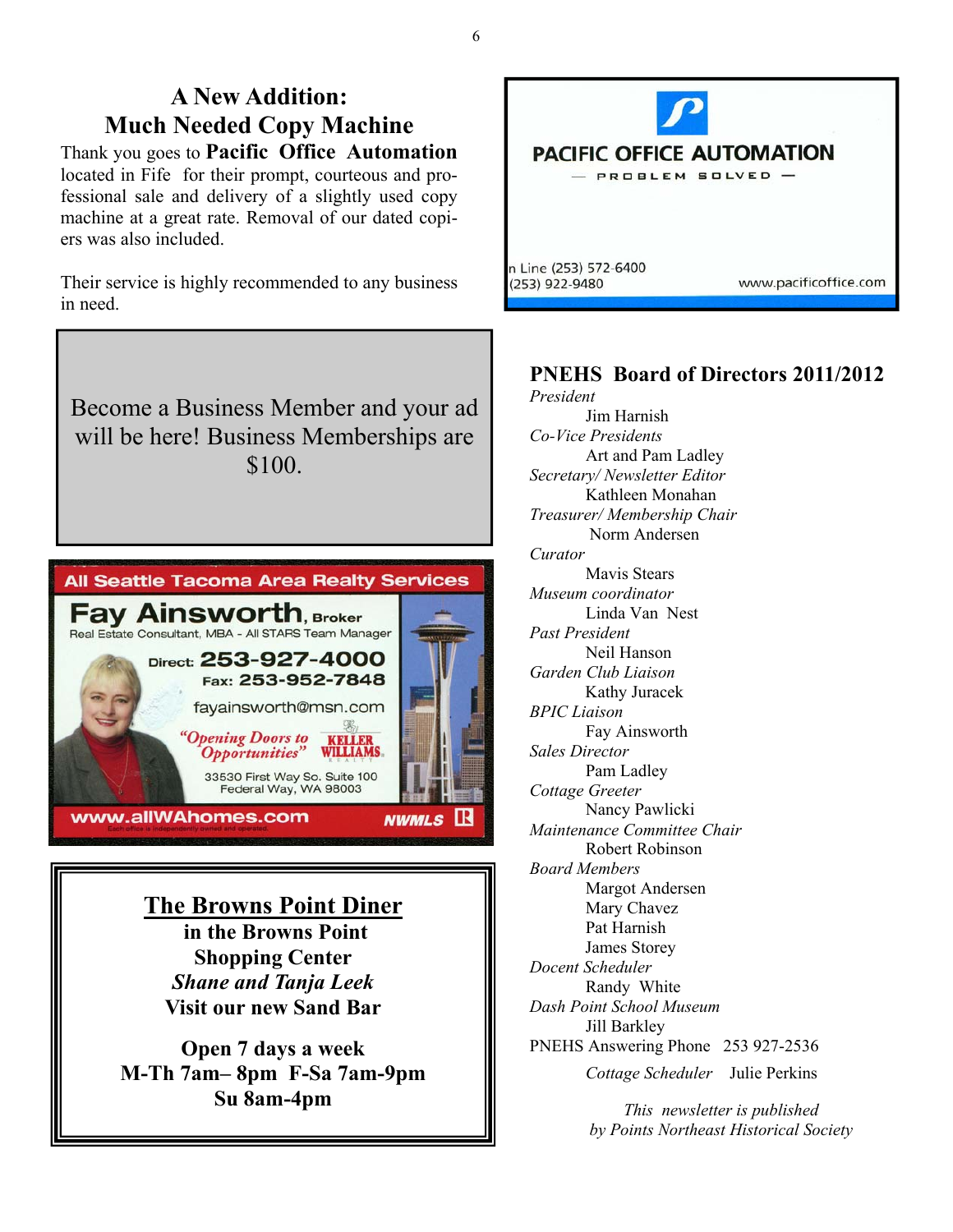# **A New Addition: Much Needed Copy Machine**

Thank you goes to **Pacific Office Automation**  located in Fife for their prompt, courteous and professional sale and delivery of a slightly used copy machine at a great rate. Removal of our dated copiers was also included.

Their service is highly recommended to any business in need.

Become a Business Member and your ad will be here! Business Memberships are \$100.



**The Browns Point Diner in the Browns Point Shopping Center**  *Shane and Tanja Leek*  **Visit our new Sand Bar** 

**Open 7 days a week M-Th 7am– 8pm F-Sa 7am-9pm Su 8am-4pm** 



### **PNEHS Board of Directors 2011/2012**

*President*  Jim Harnish *Co-Vice Presidents*  Art and Pam Ladley *Secretary/ Newsletter Editor*  Kathleen Monahan *Treasurer/ Membership Chair*  Norm Andersen *Curator*  Mavis Stears *Museum coordinator*  Linda Van Nest *Past President*  Neil Hanson *Garden Club Liaison*  **Kathy Juracek** *BPIC Liaison*  Fay Ainsworth *Sales Director*  Pam Ladley *Cottage Greeter*  Nancy Pawlicki *Maintenance Committee Chair*  Robert Robinson *Board Members*  Margot Andersen Mary Chavez Pat Harnish James Storey *Docent Scheduler*  Randy White *Dash Point School Museum*  Jill Barkley PNEHS Answering Phone 253 927-2536  *Cottage Scheduler* Julie Perkins

> *This newsletter is published by Points Northeast Historical Society*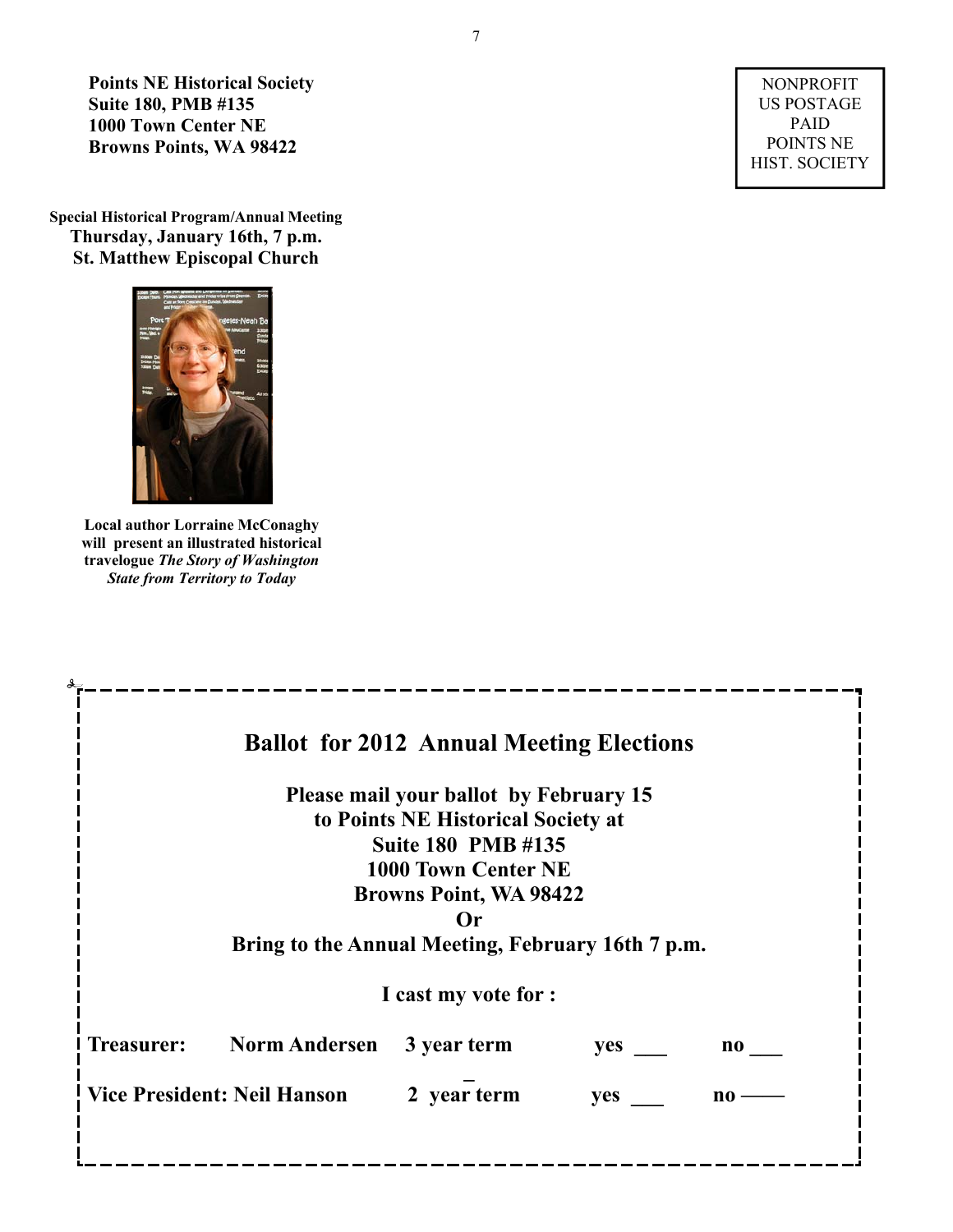**Points NE Historical Society Suite 180, PMB #135 1000 Town Center NE Browns Points, WA 98422** 

NONPROFIT US POSTAGE PAID POINTS NE HIST. SOCIETY

**Special Historical Program/Annual Meeting Thursday, January 16th, 7 p.m. St. Matthew Episcopal Church** 



**Local author Lorraine McConaghy will present an illustrated historical travelogue** *The Story of Washington State from Territory to Today* 

|                                    |                                                   | <b>Ballot for 2012 Annual Meeting Elections</b> |     |                        |
|------------------------------------|---------------------------------------------------|-------------------------------------------------|-----|------------------------|
|                                    |                                                   | <b>Please mail your ballot by February 15</b>   |     |                        |
|                                    |                                                   | to Points NE Historical Society at              |     |                        |
|                                    |                                                   | <b>Suite 180 PMB #135</b>                       |     |                        |
|                                    |                                                   | <b>1000 Town Center NE</b>                      |     |                        |
|                                    |                                                   | <b>Browns Point, WA 98422</b>                   |     |                        |
|                                    |                                                   | Or                                              |     |                        |
|                                    | Bring to the Annual Meeting, February 16th 7 p.m. |                                                 |     |                        |
|                                    |                                                   | I cast my vote for :                            |     |                        |
| Treasurer:                         | <b>Norm Andersen</b>                              | 3 year term                                     | yes | $\mathbf{n}\mathbf{o}$ |
| <b>Vice President: Neil Hanson</b> |                                                   | 2 year term                                     | yes | $\mathbf{n}\mathbf{o}$ |